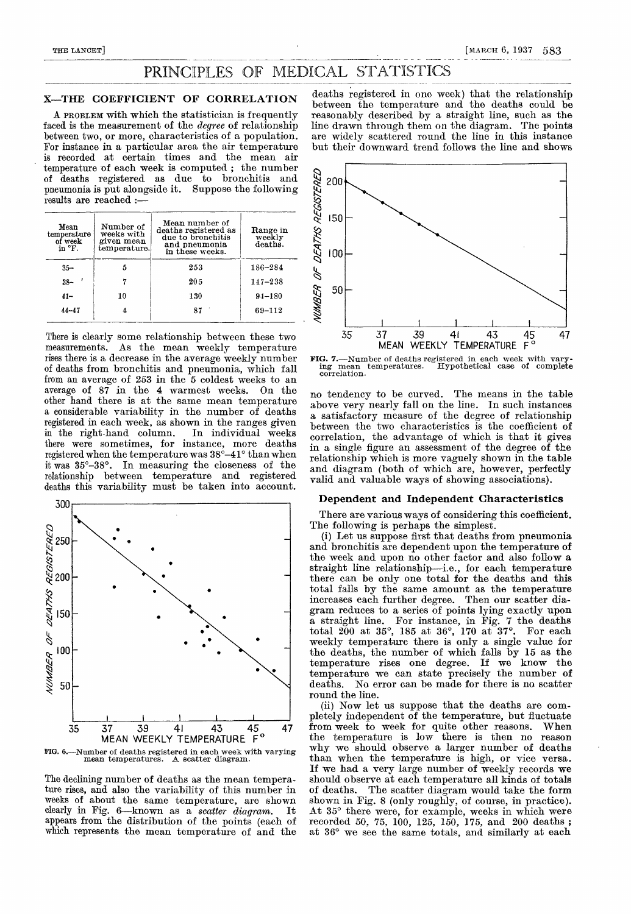# PRINCIPLES OF MEDICAL STATISTICS

# X-THE COEFFICIENT OF CORRELATION

A PROBLEM with which the statistician is frequently faced is the measurement of the degree of relationship between two, or more, characteristics of a population. For instance in a particular area the air temperature is recorded at certain times and the mean air temperature of each week is computed ; the number of deaths registered as due to bronchitis and pneumonia is put alongside it. Suppose the following results are reached :—

| Mean<br>temperature<br>of week<br>in °F. | Number of<br>weeks with<br>given mean<br>${\tt temperature}.$ | Mean number of<br>deaths registered as<br>due to bronchitis<br>and pneumonia<br>in these weeks. | Range in<br>weekly<br>deaths. |
|------------------------------------------|---------------------------------------------------------------|-------------------------------------------------------------------------------------------------|-------------------------------|
| $35 -$                                   | 5                                                             | 253                                                                                             | 186-284                       |
| $38 -$                                   | 7                                                             | 205                                                                                             | $147 - 238$                   |
| $41 -$                                   | 10                                                            | 130                                                                                             | $94 - 180$                    |
| $44 - 47$                                |                                                               | 87                                                                                              | 69-112                        |

There is clearly some relationship between these two measurements. As the mean weekly temperature rises there is a decrease in the average weekly number of deaths from bronchitis and pneumonia, which fall from an average of 253 in the 5 coldest weeks to an average of 87 in the 4 warmest weeks. On the other hand there is at the same mean temperature a considerable variability in the number of deaths registered in each week, as shown in the ranges given<br>in the right-hand column. In individual weeks in the right-hand column. there were sometimes, for instance, more deaths registered when the temperature was 38°-41° than when it was 35°-38°. In measuring the closeness of the relationship between temperature and registered deaths this variability must be taken into account.



FIG. 6.--Number of deaths registered in each week with varying mean temperatures. A scatter diagram.

The declining number of deaths as the mean temperature rises, and also the variability of this number in weeks of about the same temperature, are shown clearly in Fig. 6-known as a scatter diagram. It appears from the distribution of the points (each of which represents the mean temperature of and the

deaths registered in one week) that the relationship between the temperature and the deaths could be reasonably described by a straight line, such as the line drawn through them on the diagram. The points are widely scattered round the line in this instance but their downward trend follows the line and shows



FIG. 7.-Number of deaths registered in each week with vary-ing mean temperatures. Hypothetical case of complete correlation.

no tendency to be curved. The means in the table above very nearly fall on the line. In such instances a satisfactory measure of the degree of relationship between the two characteristics is the coefficient of correlation, the advantage of which is that it gives in a single figure an assessment of the degree of the relationship which is more vaguely shown in the table and diagram (both of which are, however, perfectly valid and valuable ways of showing associations).

#### Dependent and Independent Characteristics

There are various ways of considering this coefficient. The following is perhaps the simplest.

(i) Let us suppose first that deaths from pneumonia and bronchitis are dependent upon the temperature of the week and upon no other factor and also follow a straight line relationship-i.e., for each temperature there can be only one total for the deaths and this total falls by the same amount as the temperature increases each further degree. Then our scatter diagram reduces to a series of points lying exactly upon a straight line. For instance, in Fig. 7 the deaths total 200 at 35°, 185 at 36°, 170 at 37°. For each weekly temperature there is only a single value for the deaths, the number of which falls by 15 as the temperature rises one degree. If we know the temperature we can state precisely the number of deaths. No error can be made for there is no scatter round the line.

(ii) Now let us suppose that the deaths are completely independent of the temperature, but fluctuate from week to week for quite other reasons. When<br>the temperature is low there is then no reason the temperature is low there is then no why we should observe a larger number of deaths than when the temperature is high, or vice versa. If we had a very large number of weekly records we should observe at each temperature all kinds of totals of deaths. The scatter diagram would take the form shown in Fig. 8 (only roughly, of course, in practice). At 35° there were, for example, weeks in which were recorded 50, 75, 100, 125, 150, 175, and 200 deaths ; at 36° we see the same totals, and similarly at each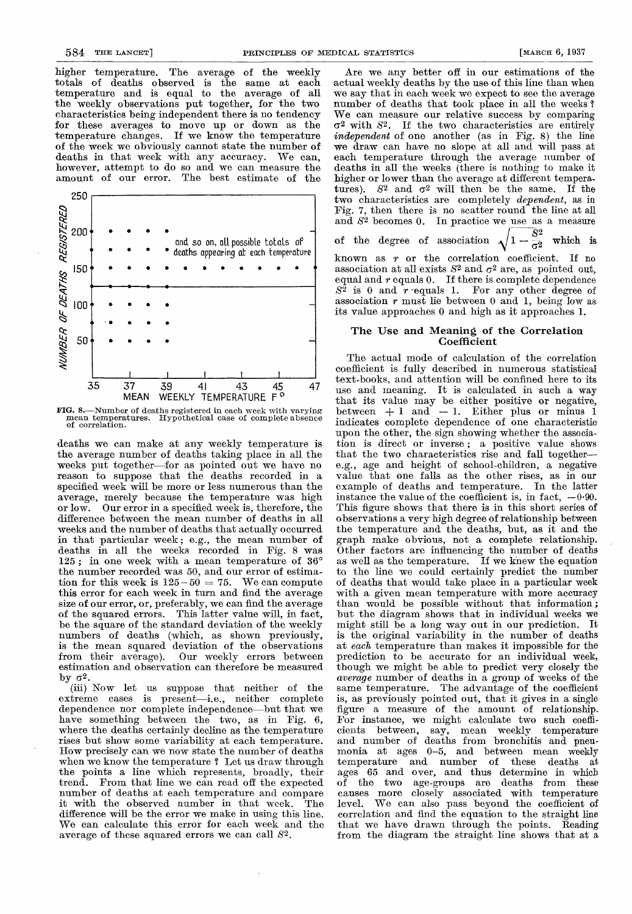higher temperature. The average of the weekly totals of deaths observed is the same at each temperature and is equal to the average of all the weekly observations put together, for the two characteristics being independent there is no tendency for these averages to move up or down as the temperature changes. If we know the temperature of the week we obviously cannot state the number of deaths in that week with any accuracy. We can, however, attempt to do so and we can measure the amount of our error. The best estimate of the



FIG. 8.-Number of deaths registered in each week with varying mean temperatures. Hypothetical case of complete absence of correlation.

deaths we can make at any weekly temperature is the average number of deaths taking place in all the weeks put together-for as pointed out we have no reason to suppose that the deaths recorded in a specified week will be more or less numerous than the average, merely because the temperature was high or low. Our error in a specified week is, therefore, the difference between the mean number of deaths in all weeks and the number of deaths that actually occurred in that particular week; e.g., the mean number of deaths in all the weeks recorded in Fig. 8 was 125 ; in one week with a mean temperature of 36° the number recorded was 50, and our error of estimation for this week is  $125-50 = 75$ . We can compute this error for each week in turn and find the average size of our error, or, preferably, we can find the average of the squared errors. This latter value will, in fact, be the square of the standard deviation of the weekly numbers of deaths (which, as shown previously, is the mean squared deviation of the observations from their average). Our weekly errors between estimation and observation can therefore be measured by  $\sigma^2$ .

(iii) Now let us suppose that neither of the extreme cases is present-i.e., neither complete dependence nor complete independence-but that we have something between the two, as in Fig. 6, where the deaths certainly decline as the temperature rises but show some variability at each temperature. How precisely can we now state the number of deaths when we know the temperature ? Let us draw through the points a line which represents, broadly, their trend. From that line we can read off the expected number of deaths at each temperature and compare<br>it with the observed number in that week. The it with the observed number in that week. difference will be the error we make in using this line. We can calculate this error for each week and the average of these squared errors we can call S2.

Are we any better off in our estimations of the actual weekly deaths by the use of this line than when we say that in each week we expect to see the average number of deaths that took place in all the weeks ? ' We can measure our relative success by comparing  $\sigma^2$  with  $S^2$ . If the two characteristics are entirely independent of one another (as in Fig. 8) the line we draw can have no slope at all and will pass at each temperature through the average number of deaths in all the weeks (there is nothing to make it higher or lower than the average at different tempera. tures).  $S^2$  and  $\sigma^2$  will then be the same. If the two characteristics are completely dependent, as in Fig. 7, then there is no scatter round the line at all and  $S<sup>2</sup>$  becomes 0. In practice we use as a measure

of the degree of association  $\sqrt{1-\frac{S^2}{\sigma^2}}$ which is

known as  $r$  or the correlation coefficient. If no association at all exists  $S^2$  and  $\sigma^2$  are, as pointed out, equal and r equals 0. If there is complete dependence  $S^{\overline{2}}$  is 0 and  $\overline{r}$  equals 1. For any other degree of association  $r$  must lie between 0 and 1, being low as its value approaches 0 and high as it approaches 1.

# The Use and Meaning of the Correlation **Coefficient**

The actual mode of calculation of the correlation coefficient is fully described in numerous statistical text-books, and attention will be confined here to its use and meaning. It is calculated in such a way that its value may be either positive or negative, between  $+ 1$  and  $- 1$ . Either plus or minus 1 indicates complete dependence of one characteristic upon the other, the sign showing whether the association is direct or inverse; a positive value shows that the two characteristics rise and fall togethere.g., age and height of school-children, a negative value that one falls as the other rises, as in our example of deaths and temperature. In the latter instance the value of the coefficient is, in fact,  $-0.90$ . This figure shows that there is in this short series of observations a very high degree of relationship between the temperature and the deaths, but, as it and the graph make obvious, not a complete relationship. Other factors are influencing the number of deaths as well as the temperature. If we knew the equation to the line we could certainly predict the number of deaths that would take place in a particular week with a given mean temperature with more accuracy than would be possible without that information; but the diagram shows that in individual weeks we might still be a long way out in our prediction. It is the original variability in the number of deaths at each temperature than makes it impossible for the prediction to be accurate for an individual week, though we might be able to predict very closely the average number of deaths in a group of weeks of the same temperature. The advantage of the coefficient is, as previously pointed out, that it gives in a single figure a measure of the amount of relationship. For instance, we might calculate two such coefficients between, say, mean weekly temperature and number of deaths from bronchitis and pneumonia at ages 0–5, and between mean weekly<br>temperature and number of these deaths at temperature and number ages 65 and over, and thus determine in which of the two age-groups are deaths from these causes more closely associated with temperature level. We can also pass beyond the coefficient of correlation and find the equation to the straight line that we have drawn through the points. Reading that we have drawn through the points. from the diagram the straight line shows that at a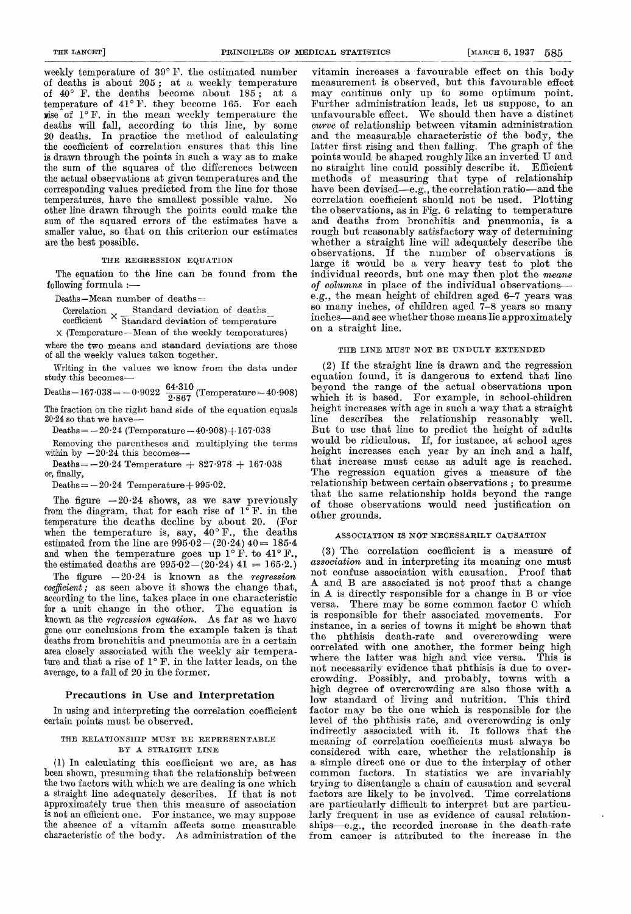weekly temperature of 39° F. the estimated number of deaths is about 205; at a weekly temperature<br>of  $40^{\circ}$  F, the deaths become about 185; at a of  $40^{\circ}$  F. the deaths become about 185; temperature of 41° F. they become 165. For each xise of 1° F. in the mean weekly temperature the deaths will fall, according to this line, by some 20 deaths. In practice the method of calculating the coefficient of correlation ensures that this line is drawn through the points in such a way as to make the sum of the squares of the differences between the actual observations at given temperatures and the corresponding values predicted from the line for those temperatures, have the smallest possible value. No other line drawn through the points could make the sum of the squared errors of the estimates have a smaller value, so that on this criterion our estimates are the best possible.

# THE REGRESSION EQUATION

The equation to the line can be found from the following formula :-

Deaths-Mean number of deaths=

Correlation Standard deviation of deaths

coefficient  $\sim$  Standard deviation of temperature X (Temperature-Mean of the weekly temperatures)

where the two means and standard deviations are those of all the weekly values taken together.

Writing in the values we know from the data under study this becomes-

Deaths-167-038=  $-0.9022 \frac{64.310}{2.867}$  (Temperature-40.908)

The fraction on the right hand side of the equation equals  $20.24$  so that we have--

Deaths  $=-20.24$  (Temperature  $-40.908$ )  $+167.038$ 

Removing the parentheses and multiplying the terms within by  $-20.24$  this becomes-

Deaths =  $-20.24$  Temperature + 827.978 + 167.038 or, finally,

Deaths  $=-20.24$  Temperature  $+995.02$ .

The figure  $-20.24$  shows, as we saw previously from the diagram, that for each rise of 10 F. in the temperature the deaths decline by about 20. (For when the temperature is, say,  $40^{\circ}$  F., the deaths estimated from the line are  $995.02-(20.24)$   $40=185.4$ and when the temperature goes up  $1^{\circ}$  F. to  $41^{\circ}$  F., the estimated deaths are  $995.02 - (20.24) 41 = 165.2.$ )

The figure  $-20.24$  is known as the regression coefficient; as seen above it shows the change that, according to the line, takes place in one characteristic for a unit change in the other. The equation is known as the regression equation. As far as we have gone our conclusions from the example taken is that deaths from bronchitis and pneumonia are in a certain area closely associated with the weekly air temperature and that a rise of  $1^{\circ}$  F. in the latter leads, on the average, to a fall of 20 in the former.

## Precautions in Use and Interpretation

In using and interpreting the correlation coefficient certain points must be observed.

#### THE RELATIONSHIP MUST BE REPRESENTABLE BY A STRAIGHT LINE

(1) In calculating this coefficient we are, as has been shown, presuming that the relationship between<br>the two factors with which we are dealing is one which a straight line adequately describes. If that is not approximately true then this measure of association is not an efficient one. For instance, we may suppose the absence of a vitamin affects some measurable characteristic of the body. As administration of the

vitamin increases a favourable effect on this body measurement is observed, but this favourable effect may continue only up to some optimum point. Further administration leads, let us suppose, to an unfavourable effect. We should then have a distinct curve of relationship between vitamin administration and the measurable characteristic of the body, the latter first rising and then falling. The graph of the points would be shaped roughly like an inverted U and no straight line could possibly describe it. Efficient methods of measuring that type of relationship have been devised-e.g., the correlation ratio-and the correlation coefficient should not be used. Plotting the observations, as in Fig. 6 relating to temperature and deaths from bronchitis and pneumonia, is a rough but reasonably satisfactory way of determining whether a straight line will adequately describe the observations. If the number of observations is large it would be a very heavy test to plot the individual records, but one may then plot the means of columns in place of the individual observationse.g., the mean height of children aged 6-7 years was so many inches, of children aged 7-8 years so many inches-and see whether those means lie approximately on a straight line.

#### THE LINE MUST NOT BE UNDULY EXTENDED

(2) If the straight line is drawn and the regression equation found, it is dangerous to extend that line beyond the range of the actual observations upon which it is based. For example, in school-children height increases with age in such a way that a straight line describes the relationship reasonably well. But to use that line to predict the height of adults would be ridiculous. If, for instance, at school ages height increases each year by an inch and a half, that increase must cease as adult age is reached. The regression equation gives a measure of the relationship between certain observations ; to presume that the same relationship holds beyond the range of those observations would need justification on other grounds.

## ASSOCIATION IS NOT NECESSARILY CAUSATION

(3) The correlation coefficient is a measure of association and in interpreting its meaning one must not confuse association with causation. Proof that not confuse association with causation. A and B are associated is not proof that a change in A is directly responsible for a change in B or vice versa. There may be some common factor C which<br>is responsible for their associated movements. For is responsible for their associated movements. instance, in a series of towns it might be shown that<br>the phthisis death-rate and overcrowding were phthisis death-rate and overcrowding were correlated with one another, the former being high where the latter was high and vice versa. This is not necessarily evidence that phthisis is due to overcrowding. Possibly, and probably, towns with a high degree of overcrowding are also those with a low standard of living and nutrition. This third factor may be the one which is responsible for the level of the phthisis rate, and overcrowding is only indirectly associated with it. It follows that the meaning of correlation coefficients must always be considered with care, whether the relationship is a simple direct one or due to the interplay of other common factors. In statistics we are invariably trying to disentangle a chain of causation and several factors are likely to be involved. Time correlations are particularly difficult to interpret but are particularly frequent in use as evidence of causal relationships-e.g., the recorded increase in the death-rate from cancer is attributed to the increase in the